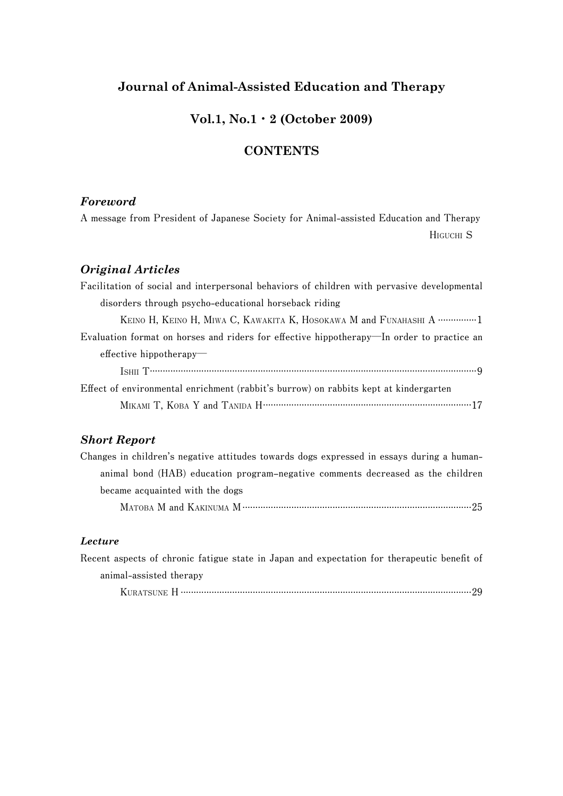# **Journal of Animal-Assisted Education and Therapy**

### **Vol.1, No.1**・**2 (October 2009)**

# **CONTENTS**

#### *Foreword*

**A message from President of Japanese Society for Animal-assisted Education and Therapy HIGUCHI S**

# *Original Articles*

### *Short Report*

| Changes in children's negative attitudes towards dogs expressed in essays during a human- |  |
|-------------------------------------------------------------------------------------------|--|
| animal bond (HAB) education program-negative comments decreased as the children           |  |
| became acquainted with the dogs                                                           |  |
|                                                                                           |  |

#### *Lecture*

| Recent aspects of chronic fatigue state in Japan and expectation for the apeutic benefit of |  |  |
|---------------------------------------------------------------------------------------------|--|--|
| animal-assisted therapy                                                                     |  |  |
|                                                                                             |  |  |